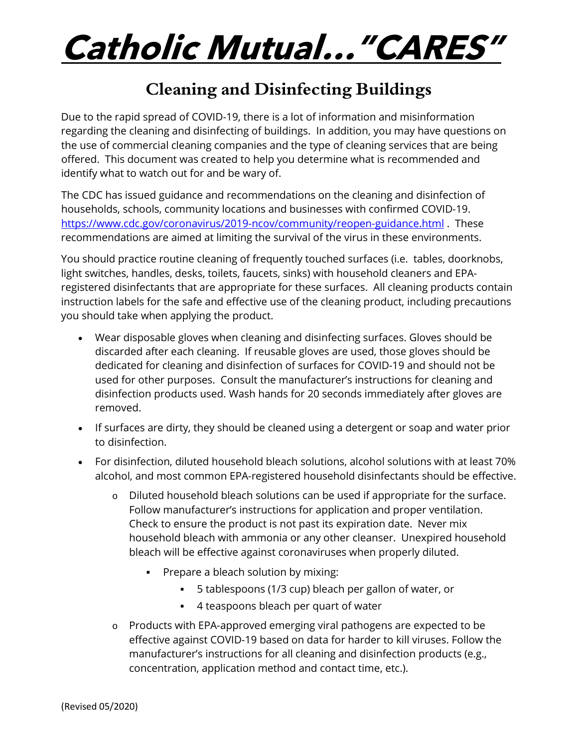# **Catholic Mutual…"CARES"**

## **Cleaning and Disinfecting Buildings**

Due to the rapid spread of COVID-19, there is a lot of information and misinformation regarding the cleaning and disinfecting of buildings. In addition, you may have questions on the use of commercial cleaning companies and the type of cleaning services that are being offered. This document was created to help you determine what is recommended and identify what to watch out for and be wary of.

The CDC has issued guidance and recommendations on the cleaning and disinfection of households, schools, community locations and businesses with confirmed COVID-19. <https://www.cdc.gov/coronavirus/2019-ncov/community/reopen-guidance.html> . These recommendations are aimed at limiting the survival of the virus in these environments.

You should practice routine cleaning of frequently touched surfaces (i.e. tables, doorknobs, light switches, handles, desks, toilets, faucets, sinks) with household cleaners and EPAregistered disinfectants that are appropriate for these surfaces. All cleaning products contain instruction labels for the safe and effective use of the cleaning product, including precautions you should take when applying the product.

- Wear disposable gloves when cleaning and disinfecting surfaces. Gloves should be discarded after each cleaning. If reusable gloves are used, those gloves should be dedicated for cleaning and disinfection of surfaces for COVID-19 and should not be used for other purposes. Consult the manufacturer's instructions for cleaning and disinfection products used. Wash hands for 20 seconds immediately after gloves are removed.
- If surfaces are dirty, they should be cleaned using a detergent or soap and water prior to disinfection.
- For disinfection, diluted household bleach solutions, alcohol solutions with at least 70% alcohol, and most common EPA-registered household disinfectants should be effective.
	- o Diluted household bleach solutions can be used if appropriate for the surface. Follow manufacturer's instructions for application and proper ventilation. Check to ensure the product is not past its expiration date. Never mix household bleach with ammonia or any other cleanser. Unexpired household bleach will be effective against coronaviruses when properly diluted.
		- Prepare a bleach solution by mixing:
			- 5 tablespoons (1/3 cup) bleach per gallon of water, or
			- 4 teaspoons bleach per quart of water
	- o Products with EPA-approved emerging viral pathogens are expected to be effective against COVID-19 based on data for harder to kill viruses. Follow the manufacturer's instructions for all cleaning and disinfection products (e.g., concentration, application method and contact time, etc.).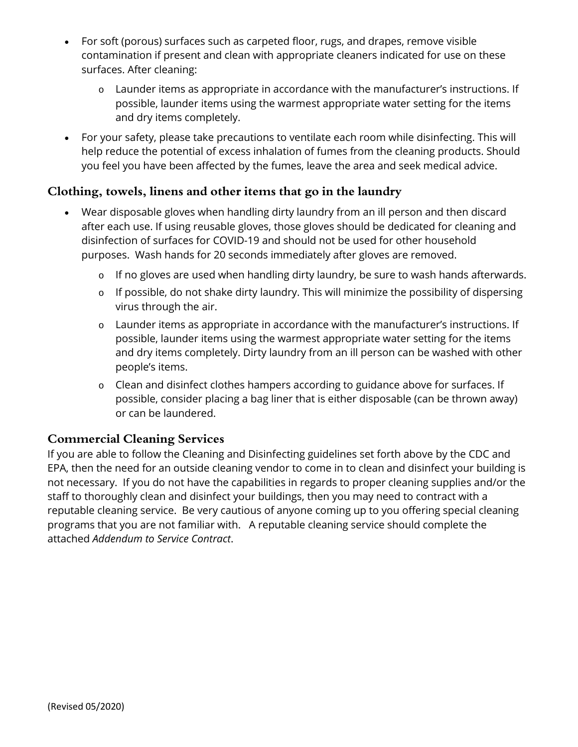- For soft (porous) surfaces such as carpeted floor, rugs, and drapes, remove visible contamination if present and clean with appropriate cleaners indicated for use on these surfaces. After cleaning:
	- o Launder items as appropriate in accordance with the manufacturer's instructions. If possible, launder items using the warmest appropriate water setting for the items and dry items completely.
- For your safety, please take precautions to ventilate each room while disinfecting. This will help reduce the potential of excess inhalation of fumes from the cleaning products. Should you feel you have been affected by the fumes, leave the area and seek medical advice.

#### **Clothing, towels, linens and other items that go in the laundry**

- Wear disposable gloves when handling dirty laundry from an ill person and then discard after each use. If using reusable gloves, those gloves should be dedicated for cleaning and disinfection of surfaces for COVID-19 and should not be used for other household purposes. Wash hands for 20 seconds immediately after gloves are removed.
	- o If no gloves are used when handling dirty laundry, be sure to wash hands afterwards.
	- o If possible, do not shake dirty laundry. This will minimize the possibility of dispersing virus through the air.
	- o Launder items as appropriate in accordance with the manufacturer's instructions. If possible, launder items using the warmest appropriate water setting for the items and dry items completely. Dirty laundry from an ill person can be washed with other people's items.
	- o Clean and disinfect clothes hampers according to guidance above for surfaces. If possible, consider placing a bag liner that is either disposable (can be thrown away) or can be laundered.

#### **Commercial Cleaning Services**

If you are able to follow the Cleaning and Disinfecting guidelines set forth above by the CDC and EPA, then the need for an outside cleaning vendor to come in to clean and disinfect your building is not necessary. If you do not have the capabilities in regards to proper cleaning supplies and/or the staff to thoroughly clean and disinfect your buildings, then you may need to contract with a reputable cleaning service. Be very cautious of anyone coming up to you offering special cleaning programs that you are not familiar with. A reputable cleaning service should complete the attached *Addendum to Service Contract*.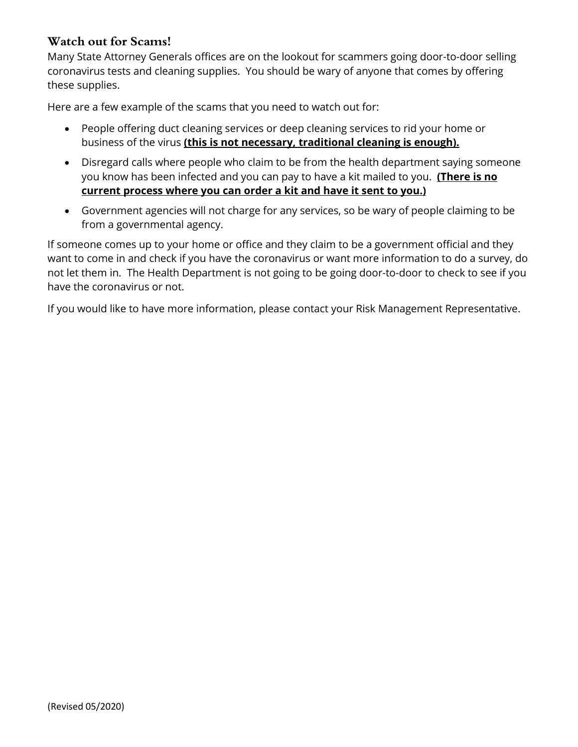#### **Watch out for Scams!**

Many State Attorney Generals offices are on the lookout for scammers going door-to-door selling coronavirus tests and cleaning supplies. You should be wary of anyone that comes by offering these supplies.

Here are a few example of the scams that you need to watch out for:

- People offering duct cleaning services or deep cleaning services to rid your home or business of the virus **(this is not necessary, traditional cleaning is enough).**
- Disregard calls where people who claim to be from the health department saying someone you know has been infected and you can pay to have a kit mailed to you. **(There is no current process where you can order a kit and have it sent to you.)**
- Government agencies will not charge for any services, so be wary of people claiming to be from a governmental agency.

If someone comes up to your home or office and they claim to be a government official and they want to come in and check if you have the coronavirus or want more information to do a survey, do not let them in. The Health Department is not going to be going door-to-door to check to see if you have the coronavirus or not.

If you would like to have more information, please contact your Risk Management Representative.